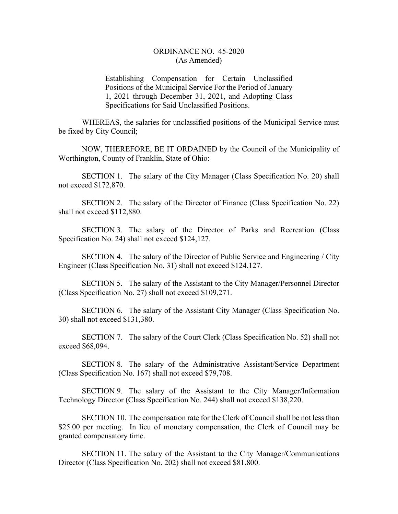## ORDINANCE NO. 45-2020 (As Amended)

Establishing Compensation for Certain Unclassified Positions of the Municipal Service For the Period of January 1, 2021 through December 31, 2021, and Adopting Class Specifications for Said Unclassified Positions.

WHEREAS, the salaries for unclassified positions of the Municipal Service must be fixed by City Council;

NOW, THEREFORE, BE IT ORDAINED by the Council of the Municipality of Worthington, County of Franklin, State of Ohio:

SECTION 1. The salary of the City Manager (Class Specification No. 20) shall not exceed \$172,870.

SECTION 2. The salary of the Director of Finance (Class Specification No. 22) shall not exceed \$112,880.

SECTION 3. The salary of the Director of Parks and Recreation (Class Specification No. 24) shall not exceed \$124,127.

SECTION 4. The salary of the Director of Public Service and Engineering / City Engineer (Class Specification No. 31) shall not exceed \$124,127.

SECTION 5. The salary of the Assistant to the City Manager/Personnel Director (Class Specification No. 27) shall not exceed \$109,271.

SECTION 6. The salary of the Assistant City Manager (Class Specification No. 30) shall not exceed \$131,380.

SECTION 7. The salary of the Court Clerk (Class Specification No. 52) shall not exceed \$68,094.

SECTION 8. The salary of the Administrative Assistant/Service Department (Class Specification No. 167) shall not exceed \$79,708.

SECTION 9. The salary of the Assistant to the City Manager/Information Technology Director (Class Specification No. 244) shall not exceed \$138,220.

 SECTION 10. The compensation rate for the Clerk of Council shall be not less than \$25.00 per meeting. In lieu of monetary compensation, the Clerk of Council may be granted compensatory time.

SECTION 11. The salary of the Assistant to the City Manager/Communications Director (Class Specification No. 202) shall not exceed \$81,800.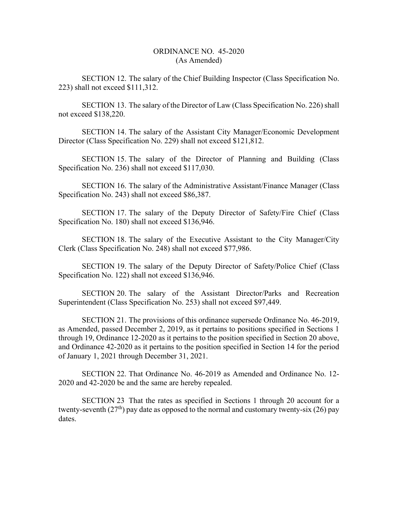## ORDINANCE NO. 45-2020 (As Amended)

SECTION 12. The salary of the Chief Building Inspector (Class Specification No. 223) shall not exceed \$111,312.

SECTION 13. The salary of the Director of Law (Class Specification No. 226) shall not exceed \$138,220.

SECTION 14. The salary of the Assistant City Manager/Economic Development Director (Class Specification No. 229) shall not exceed \$121,812.

SECTION 15. The salary of the Director of Planning and Building (Class Specification No. 236) shall not exceed \$117,030.

SECTION 16. The salary of the Administrative Assistant/Finance Manager (Class Specification No. 243) shall not exceed \$86,387.

SECTION 17. The salary of the Deputy Director of Safety/Fire Chief (Class Specification No. 180) shall not exceed \$136,946.

SECTION 18. The salary of the Executive Assistant to the City Manager/City Clerk (Class Specification No. 248) shall not exceed \$77,986.

SECTION 19. The salary of the Deputy Director of Safety/Police Chief (Class Specification No. 122) shall not exceed \$136,946.

SECTION 20. The salary of the Assistant Director/Parks and Recreation Superintendent (Class Specification No. 253) shall not exceed \$97,449.

SECTION 21. The provisions of this ordinance supersede Ordinance No. 46-2019, as Amended, passed December 2, 2019, as it pertains to positions specified in Sections 1 through 19, Ordinance 12-2020 as it pertains to the position specified in Section 20 above, and Ordinance 42-2020 as it pertains to the position specified in Section 14 for the period of January 1, 2021 through December 31, 2021.

SECTION 22. That Ordinance No. 46-2019 as Amended and Ordinance No. 12- 2020 and 42-2020 be and the same are hereby repealed.

SECTION 23 That the rates as specified in Sections 1 through 20 account for a twenty-seventh  $(27<sup>th</sup>)$  pay date as opposed to the normal and customary twenty-six (26) pay dates.